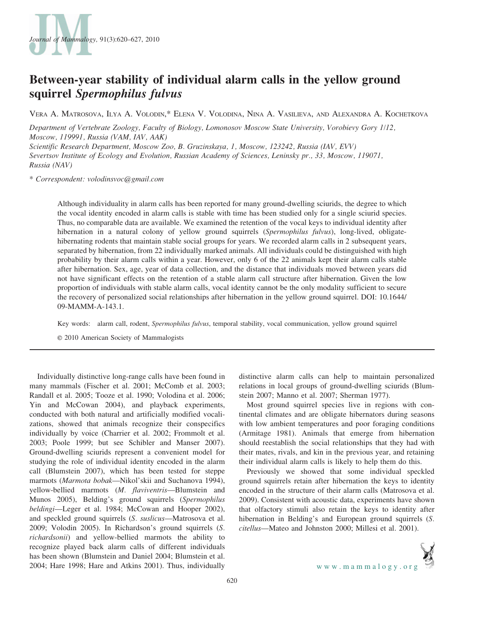

# Between-year stability of individual alarm calls in the yellow ground squirrel Spermophilus fulvus

VERA A. MATROSOVA, ILYA A. VOLODIN,\* ELENA V. VOLODINA, NINA A. VASILIEVA, AND ALEXANDRA A. KOCHETKOVA

Department of Vertebrate Zoology, Faculty of Biology, Lomonosov Moscow State University, Vorobievy Gory 1/12, Moscow, 119991, Russia (VAM, IAV, AAK)

Scientific Research Department, Moscow Zoo, B. Gruzinskaya, 1, Moscow, 123242, Russia (IAV, EVV) Severtsov Institute of Ecology and Evolution, Russian Academy of Sciences, Leninsky pr., 33, Moscow, 119071, Russia (NAV)

\* Correspondent: volodinsvoc@gmail.com

Although individuality in alarm calls has been reported for many ground-dwelling sciurids, the degree to which the vocal identity encoded in alarm calls is stable with time has been studied only for a single sciurid species. Thus, no comparable data are available. We examined the retention of the vocal keys to individual identity after hibernation in a natural colony of yellow ground squirrels (Spermophilus fulvus), long-lived, obligatehibernating rodents that maintain stable social groups for years. We recorded alarm calls in 2 subsequent years, separated by hibernation, from 22 individually marked animals. All individuals could be distinguished with high probability by their alarm calls within a year. However, only 6 of the 22 animals kept their alarm calls stable after hibernation. Sex, age, year of data collection, and the distance that individuals moved between years did not have significant effects on the retention of a stable alarm call structure after hibernation. Given the low proportion of individuals with stable alarm calls, vocal identity cannot be the only modality sufficient to secure the recovery of personalized social relationships after hibernation in the yellow ground squirrel. DOI: 10.1644/ 09-MAMM-A-143.1.

Key words: alarm call, rodent, Spermophilus fulvus, temporal stability, vocal communication, yellow ground squirrel

E 2010 American Society of Mammalogists

Individually distinctive long-range calls have been found in many mammals (Fischer et al. 2001; McComb et al. 2003; Randall et al. 2005; Tooze et al. 1990; Volodina et al. 2006; Yin and McCowan 2004), and playback experiments, conducted with both natural and artificially modified vocalizations, showed that animals recognize their conspecifics individually by voice (Charrier et al. 2002; Frommolt et al. 2003; Poole 1999; but see Schibler and Manser 2007). Ground-dwelling sciurids represent a convenient model for studying the role of individual identity encoded in the alarm call (Blumstein 2007), which has been tested for steppe marmots (Marmota bobak—Nikol'skii and Suchanova 1994), yellow-bellied marmots (M. flaviventris—Blumstein and Munos 2005), Belding's ground squirrels (Spermophilus beldingi—Leger et al. 1984; McCowan and Hooper 2002), and speckled ground squirrels (S. suslicus—Matrosova et al. 2009; Volodin 2005). In Richardson's ground squirrels (S. richardsonii) and yellow-bellied marmots the ability to recognize played back alarm calls of different individuals has been shown (Blumstein and Daniel 2004; Blumstein et al. 2004; Hare 1998; Hare and Atkins 2001). Thus, individually

distinctive alarm calls can help to maintain personalized relations in local groups of ground-dwelling sciurids (Blumstein 2007; Manno et al. 2007; Sherman 1977).

Most ground squirrel species live in regions with continental climates and are obligate hibernators during seasons with low ambient temperatures and poor foraging conditions (Armitage 1981). Animals that emerge from hibernation should reestablish the social relationships that they had with their mates, rivals, and kin in the previous year, and retaining their individual alarm calls is likely to help them do this.

Previously we showed that some individual speckled ground squirrels retain after hibernation the keys to identity encoded in the structure of their alarm calls (Matrosova et al. 2009). Consistent with acoustic data, experiments have shown that olfactory stimuli also retain the keys to identity after hibernation in Belding's and European ground squirrels (S. citellus—Mateo and Johnston 2000; Millesi et al. 2001).

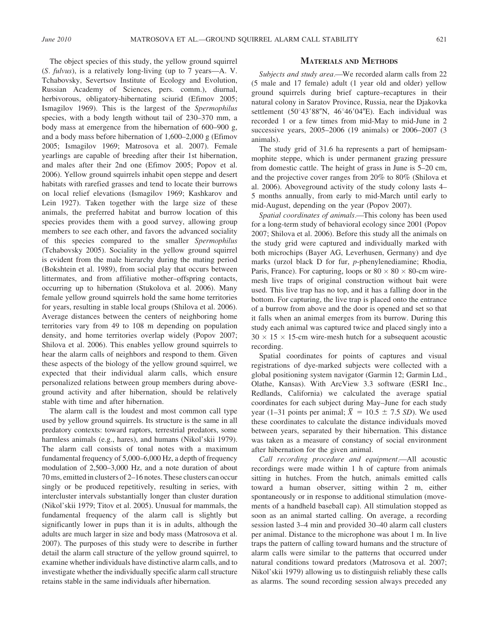The object species of this study, the yellow ground squirrel (S. fulvus), is a relatively long-living (up to 7 years—A. V. Tchabovsky, Severtsov Institute of Ecology and Evolution, Russian Academy of Sciences, pers. comm.), diurnal, herbivorous, obligatory-hibernating sciurid (Efimov 2005; Ismagilov 1969). This is the largest of the Spermophilus species, with a body length without tail of 230–370 mm, a body mass at emergence from the hibernation of 600–900 g, and a body mass before hibernation of 1,600–2,000 g (Efimov 2005; Ismagilov 1969; Matrosova et al. 2007). Female yearlings are capable of breeding after their 1st hibernation, and males after their 2nd one (Efimov 2005; Popov et al. 2006). Yellow ground squirrels inhabit open steppe and desert habitats with rarefied grasses and tend to locate their burrows on local relief elevations (Ismagilov 1969; Kashkarov and Lein 1927). Taken together with the large size of these animals, the preferred habitat and burrow location of this species provides them with a good survey, allowing group members to see each other, and favors the advanced sociality of this species compared to the smaller Spermophilus (Tchabovsky 2005). Sociality in the yellow ground squirrel is evident from the male hierarchy during the mating period (Bokshtein et al. 1989), from social play that occurs between littermates, and from affiliative mother–offspring contacts, occurring up to hibernation (Stukolova et al. 2006). Many female yellow ground squirrels hold the same home territories for years, resulting in stable local groups (Shilova et al. 2006). Average distances between the centers of neighboring home territories vary from 49 to 108 m depending on population density, and home territories overlap widely (Popov 2007; Shilova et al. 2006). This enables yellow ground squirrels to hear the alarm calls of neighbors and respond to them. Given these aspects of the biology of the yellow ground squirrel, we expected that their individual alarm calls, which ensure personalized relations between group members during aboveground activity and after hibernation, should be relatively stable with time and after hibernation.

The alarm call is the loudest and most common call type used by yellow ground squirrels. Its structure is the same in all predatory contexts: toward raptors, terrestrial predators, some harmless animals (e.g., hares), and humans (Nikol'skii 1979). The alarm call consists of tonal notes with a maximum fundamental frequency of 5,000–6,000 Hz, a depth of frequency modulation of 2,500–3,000 Hz, and a note duration of about 70 ms, emitted in clusters of 2–16 notes. These clusters can occur singly or be produced repetitively, resulting in series, with intercluster intervals substantially longer than cluster duration (Nikol'skii 1979; Titov et al. 2005). Unusual for mammals, the fundamental frequency of the alarm call is slightly but significantly lower in pups than it is in adults, although the adults are much larger in size and body mass (Matrosova et al. 2007). The purposes of this study were to describe in further detail the alarm call structure of the yellow ground squirrel, to examine whether individuals have distinctive alarm calls, and to investigate whether the individually specific alarm call structure retains stable in the same individuals after hibernation.

## MATERIALS AND METHODS

Subjects and study area.—We recorded alarm calls from 22 (5 male and 17 female) adult (1 year old and older) yellow ground squirrels during brief capture–recaptures in their natural colony in Saratov Province, Russia, near the Djakovka settlement (50°43'88"N, 46°46'04"E). Each individual was recorded 1 or a few times from mid-May to mid-June in 2 successive years, 2005–2006 (19 animals) or 2006–2007 (3 animals).

The study grid of 31.6 ha represents a part of hemipsammophite steppe, which is under permanent grazing pressure from domestic cattle. The height of grass in June is 5–20 cm, and the projective cover ranges from 20% to 80% (Shilova et al. 2006). Aboveground activity of the study colony lasts 4– 5 months annually, from early to mid-March until early to mid-August, depending on the year (Popov 2007).

Spatial coordinates of animals.—This colony has been used for a long-term study of behavioral ecology since 2001 (Popov 2007; Shilova et al. 2006). Before this study all the animals on the study grid were captured and individually marked with both microchips (Bayer AG, Leverhusen, Germany) and dye marks (urzol black D for fur, p-phenylenediamine; Rhodia, Paris, France). For capturing, loops or  $80 \times 80 \times 80$ -cm wiremesh live traps of original construction without bait were used. This live trap has no top, and it has a falling door in the bottom. For capturing, the live trap is placed onto the entrance of a burrow from above and the door is opened and set so that it falls when an animal emerges from its burrow. During this study each animal was captured twice and placed singly into a  $30 \times 15 \times 15$ -cm wire-mesh hutch for a subsequent acoustic recording.

Spatial coordinates for points of captures and visual registrations of dye-marked subjects were collected with a global positioning system navigator (Garmin 12; Garmin Ltd., Olathe, Kansas). With ArcView 3.3 software (ESRI Inc., Redlands, California) we calculated the average spatial coordinates for each subject during May–June for each study coordinates for each subject during may-june for each study<br>year (1–31 points per animal;  $\bar{X} = 10.5 \pm 7.5$  SD). We used these coordinates to calculate the distance individuals moved between years, separated by their hibernation. This distance was taken as a measure of constancy of social environment after hibernation for the given animal.

Call recording procedure and equipment.—All acoustic recordings were made within 1 h of capture from animals sitting in hutches. From the hutch, animals emitted calls toward a human observer, sitting within 2 m, either spontaneously or in response to additional stimulation (movements of a handheld baseball cap). All stimulation stopped as soon as an animal started calling. On average, a recording session lasted 3–4 min and provided 30–40 alarm call clusters per animal. Distance to the microphone was about 1 m. In live traps the pattern of calling toward humans and the structure of alarm calls were similar to the patterns that occurred under natural conditions toward predators (Matrosova et al. 2007; Nikol'skii 1979) allowing us to distinguish reliably these calls as alarms. The sound recording session always preceded any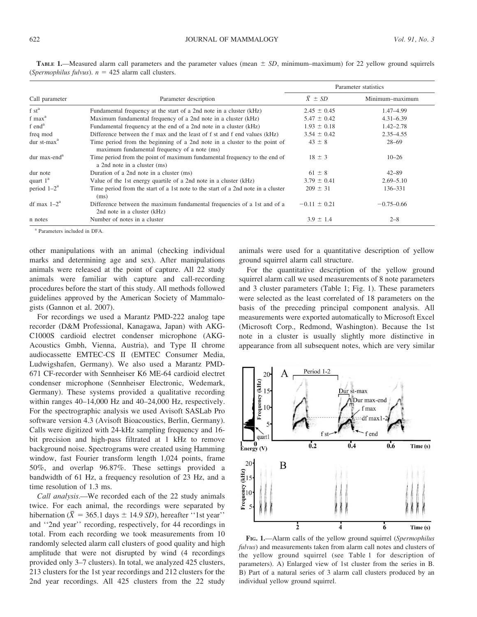|                          |                                                                                                                           | Parameter statistics |                 |  |
|--------------------------|---------------------------------------------------------------------------------------------------------------------------|----------------------|-----------------|--|
| Call parameter           | Parameter description                                                                                                     | $\bar{X} \pm SD$     | Minimum-maximum |  |
| $f st^a$                 | Fundamental frequency at the start of a 2nd note in a cluster (kHz)                                                       | $2.45 \pm 0.45$      | 1.47-4.99       |  |
| $f$ max $^a$             | Maximum fundamental frequency of a 2nd note in a cluster (kHz)                                                            | $5.47 \pm 0.42$      | $4.31 - 6.39$   |  |
| f end <sup>a</sup>       | Fundamental frequency at the end of a 2nd note in a cluster (kHz)                                                         | $1.93 \pm 0.18$      | $1.42 - 2.78$   |  |
| freq mod                 | Difference between the f max and the least of f st and f end values (kHz)                                                 | $3.54 \pm 0.42$      | $2.35 - 4.55$   |  |
| dur $st-maxa$            | Time period from the beginning of a 2nd note in a cluster to the point of<br>maximum fundamental frequency of a note (ms) | $43 \pm 8$           | $28 - 69$       |  |
| dur max-end <sup>a</sup> | Time period from the point of maximum fundamental frequency to the end of<br>a 2nd note in a cluster (ms)                 | $18 \pm 3$           | $10 - 26$       |  |
| dur note                 | Duration of a 2nd note in a cluster (ms)                                                                                  | $61 \pm 8$           | $42 - 89$       |  |
| quart $1^a$              | Value of the 1st energy quartile of a 2nd note in a cluster (kHz)                                                         | $3.79 \pm 0.41$      | $2.69 - 5.10$   |  |
| period $1-2^a$           | Time period from the start of a 1st note to the start of a 2nd note in a cluster<br>(ms)                                  | $209 \pm 31$         | 136-331         |  |
| df max $1-2^a$           | Difference between the maximum fundamental frequencies of a 1st and of a<br>2nd note in a cluster (kHz)                   | $-0.11 \pm 0.21$     | $-0.75 - 0.66$  |  |
| n notes                  | Number of notes in a cluster                                                                                              | $3.9 \pm 1.4$        | $2 - 8$         |  |

TABLE 1.—Measured alarm call parameters and the parameter values (mean  $\pm SD$ , minimum–maximum) for 22 yellow ground squirrels (Spermophilus fulvus).  $n = 425$  alarm call clusters.

<sup>a</sup> Parameters included in DFA.

other manipulations with an animal (checking individual marks and determining age and sex). After manipulations animals were released at the point of capture. All 22 study animals were familiar with capture and call-recording procedures before the start of this study. All methods followed guidelines approved by the American Society of Mammalogists (Gannon et al. 2007).

For recordings we used a Marantz PMD-222 analog tape recorder (D&M Professional, Kanagawa, Japan) with AKG-C1000S cardioid electret condenser microphone (AKG-Acoustics Gmbh, Vienna, Austria), and Type II chrome audiocassette EMTEC-CS II (EMTEC Consumer Media, Ludwigshafen, Germany). We also used a Marantz PMD-671 CF-recorder with Sennheiser K6 ME-64 cardioid electret condenser microphone (Sennheiser Electronic, Wedemark, Germany). These systems provided a qualitative recording within ranges 40–14,000 Hz and 40–24,000 Hz, respectively. For the spectrographic analysis we used Avisoft SASLab Pro software version 4.3 (Avisoft Bioacoustics, Berlin, Germany). Calls were digitized with 24-kHz sampling frequency and 16 bit precision and high-pass filtrated at 1 kHz to remove background noise. Spectrograms were created using Hamming window, fast Fourier transform length 1,024 points, frame 50%, and overlap 96.87%. These settings provided a bandwidth of 61 Hz, a frequency resolution of 23 Hz, and a time resolution of 1.3 ms.

Call analysis.—We recorded each of the 22 study animals twice. For each animal, the recordings were separated by twice. For each animal, the recordings were separated by hibernation ( $\bar{X} = 365.1$  days  $\pm$  14.9 *SD*), hereafter "1st year" and ''2nd year'' recording, respectively, for 44 recordings in total. From each recording we took measurements from 10 randomly selected alarm call clusters of good quality and high amplitude that were not disrupted by wind (4 recordings provided only 3–7 clusters). In total, we analyzed 425 clusters, 213 clusters for the 1st year recordings and 212 clusters for the 2nd year recordings. All 425 clusters from the 22 study animals were used for a quantitative description of yellow ground squirrel alarm call structure.

For the quantitative description of the yellow ground squirrel alarm call we used measurements of 8 note parameters and 3 cluster parameters (Table 1; Fig. 1). These parameters were selected as the least correlated of 18 parameters on the basis of the preceding principal component analysis. All measurements were exported automatically to Microsoft Excel (Microsoft Corp., Redmond, Washington). Because the 1st note in a cluster is usually slightly more distinctive in appearance from all subsequent notes, which are very similar



FIG. 1.—Alarm calls of the yellow ground squirrel (Spermophilus fulvus) and measurements taken from alarm call notes and clusters of the yellow ground squirrel (see Table 1 for description of parameters). A) Enlarged view of 1st cluster from the series in B. B) Part of a natural series of 3 alarm call clusters produced by an individual yellow ground squirrel.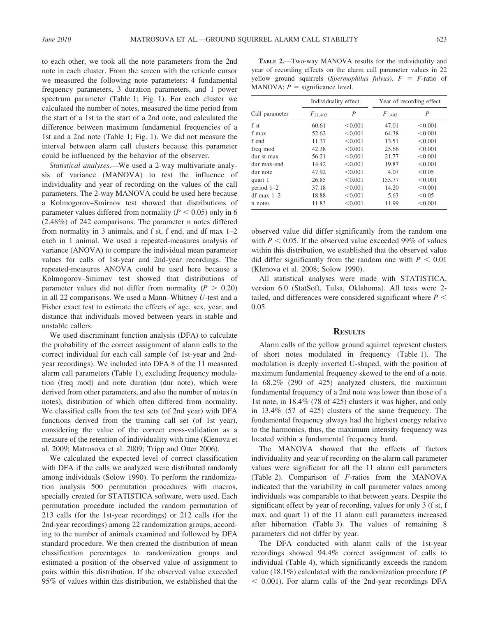to each other, we took all the note parameters from the 2nd note in each cluster. From the screen with the reticule cursor we measured the following note parameters: 4 fundamental frequency parameters, 3 duration parameters, and 1 power spectrum parameter (Table 1; Fig. 1). For each cluster we calculated the number of notes, measured the time period from the start of a 1st to the start of a 2nd note, and calculated the difference between maximum fundamental frequencies of a 1st and a 2nd note (Table 1; Fig. 1). We did not measure the interval between alarm call clusters because this parameter could be influenced by the behavior of the observer.

Statistical analyses.—We used a 2-way multivariate analysis of variance (MANOVA) to test the influence of individuality and year of recording on the values of the call parameters. The 2-way MANOVA could be used here because a Kolmogorov–Smirnov test showed that distributions of parameter values differed from normality ( $P < 0.05$ ) only in 6 (2.48%) of 242 comparisons. The parameter n notes differed from normality in 3 animals, and f st, f end, and df max 1–2 each in 1 animal. We used a repeated-measures analysis of variance (ANOVA) to compare the individual mean parameter values for calls of 1st-year and 2nd-year recordings. The repeated-measures ANOVA could be used here because a Kolmogorov–Smirnov test showed that distributions of parameter values did not differ from normality ( $P > 0.20$ ) in all 22 comparisons. We used a Mann–Whitney U-test and a Fisher exact test to estimate the effects of age, sex, year, and distance that individuals moved between years in stable and unstable callers.

We used discriminant function analysis (DFA) to calculate the probability of the correct assignment of alarm calls to the correct individual for each call sample (of 1st-year and 2ndyear recordings). We included into DFA 8 of the 11 measured alarm call parameters (Table 1), excluding frequency modulation (freq mod) and note duration (dur note), which were derived from other parameters, and also the number of notes (n notes), distribution of which often differed from normality. We classified calls from the test sets (of 2nd year) with DFA functions derived from the training call set (of 1st year), considering the value of the correct cross-validation as a measure of the retention of individuality with time (Klenova et al. 2009; Matrosova et al. 2009; Tripp and Otter 2006).

We calculated the expected level of correct classification with DFA if the calls we analyzed were distributed randomly among individuals (Solow 1990). To perform the randomization analysis 500 permutation procedures with macros, specially created for STATISTICA software, were used. Each permutation procedure included the random permutation of 213 calls (for the 1st-year recordings) or 212 calls (for the 2nd-year recordings) among 22 randomization groups, according to the number of animals examined and followed by DFA standard procedure. We then created the distribution of mean classification percentages to randomization groups and estimated a position of the observed value of assignment to pairs within this distribution. If the observed value exceeded 95% of values within this distribution, we established that the

TABLE 2.—Two-way MANOVA results for the individuality and year of recording effects on the alarm call parameter values in 22 yellow ground squirrels (Spermophilus fulvus).  $F = F$ -ratio of MANOVA;  $P =$  significance level.

|                | Individuality effect |         | Year of recording effect |         |  |
|----------------|----------------------|---------|--------------------------|---------|--|
| Call parameter | $F_{21,402}$         | P       |                          | P       |  |
| f st           | 60.61                | < 0.001 | 47.01                    | < 0.001 |  |
| f max          | 52.62                | < 0.001 | 64.38                    | < 0.001 |  |
| f end          | 11.37                | < 0.001 | 13.51                    | < 0.001 |  |
| freq mod       | 42.38                | < 0.001 | 25.66                    | < 0.001 |  |
| dur st-max     | 56.21                | < 0.001 | 21.77                    | < 0.001 |  |
| dur max-end    | 14.42                | < 0.001 | 19.87                    | < 0.001 |  |
| dur note       | 47.92                | < 0.001 | 4.07                     | < 0.05  |  |
| quart 1        | 26.85                | < 0.001 | 153.77                   | < 0.001 |  |
| period $1-2$   | 37.18                | < 0.001 | 14.20                    | < 0.001 |  |
| $df$ max $1-2$ | 18.88                | < 0.001 | 5.63                     | < 0.05  |  |
| n notes        | 11.83                | < 0.001 | 11.99                    | < 0.001 |  |

observed value did differ significantly from the random one with  $P < 0.05$ . If the observed value exceeded 99% of values within this distribution, we established that the observed value did differ significantly from the random one with  $P < 0.01$ (Klenova et al. 2008; Solow 1990).

All statistical analyses were made with STATISTICA, version 6.0 (StatSoft, Tulsa, Oklahoma). All tests were 2 tailed, and differences were considered significant where  $P \leq$ 0.05.

## **RESULTS**

Alarm calls of the yellow ground squirrel represent clusters of short notes modulated in frequency (Table 1). The modulation is deeply inverted U-shaped, with the position of maximum fundamental frequency skewed to the end of a note. In 68.2% (290 of 425) analyzed clusters, the maximum fundamental frequency of a 2nd note was lower than those of a 1st note, in 18.4% (78 of 425) clusters it was higher, and only in 13.4% (57 of 425) clusters of the same frequency. The fundamental frequency always had the highest energy relative to the harmonics, thus, the maximum intensity frequency was located within a fundamental frequency band.

The MANOVA showed that the effects of factors individuality and year of recording on the alarm call parameter values were significant for all the 11 alarm call parameters (Table 2). Comparison of F-ratios from the MANOVA indicated that the variability in call parameter values among individuals was comparable to that between years. Despite the significant effect by year of recording, values for only 3 (f st, f max, and quart 1) of the 11 alarm call parameters increased after hibernation (Table 3). The values of remaining 8 parameters did not differ by year.

The DFA conducted with alarm calls of the 1st-year recordings showed 94.4% correct assignment of calls to individual (Table 4), which significantly exceeds the random value (18.1%) calculated with the randomization procedure ( $P$  $<$  0.001). For alarm calls of the 2nd-year recordings DFA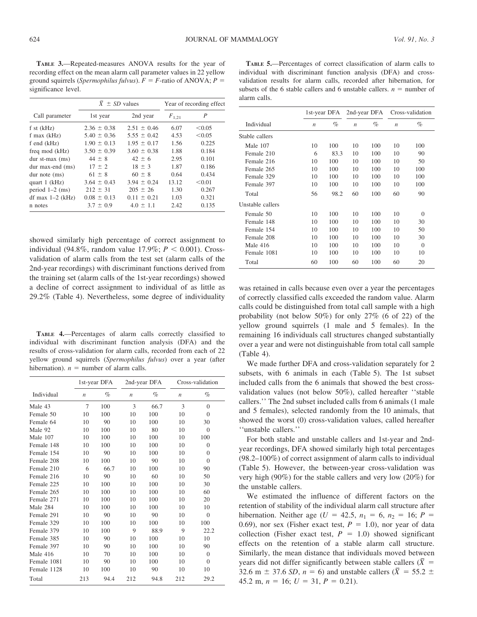TABLE 3.—Repeated-measures ANOVA results for the year of recording effect on the mean alarm call parameter values in 22 yellow ground squirrels (Spermophilus fulvus).  $F = F$ -ratio of ANOVA; P = significance level.

|                    | $\overline{X} \pm SD$ values |                 | Year of recording effect |        |  |
|--------------------|------------------------------|-----------------|--------------------------|--------|--|
| Call parameter     | 1st year                     | 2nd year        | $F_{1,21}$               | P      |  |
| $f$ st $(kHz)$     | $2.36 \pm 0.38$              | $2.51 \pm 0.46$ | 6.07                     | < 0.05 |  |
| f max $(kHz)$      | $5.40 \pm 0.36$              | $5.55 \pm 0.42$ | 4.53                     | < 0.05 |  |
| f end $(kHz)$      | $1.90 \pm 0.13$              | $1.95 \pm 0.17$ | 1.56                     | 0.225  |  |
| freq mod (kHz)     | $3.50 \pm 0.39$              | $3.60 \pm 0.38$ | 1.88                     | 0.184  |  |
| dur $st-max$ (ms)  | $44 \pm 8$                   | $42 \pm 6$      | 2.95                     | 0.101  |  |
| dur max-end (ms)   | $17 \pm 2$                   | $18 \pm 3$      | 1.87                     | 0.186  |  |
| $dur$ note $(ms)$  | $61 \pm 8$                   | $60 \pm 8$      | 0.64                     | 0.434  |  |
| quart $1$ (kHz)    | $3.64 \pm 0.43$              | $3.94 \pm 0.24$ | 13.12                    | < 0.01 |  |
| period $1-2$ (ms)  | $212 \pm 31$                 | $205 \pm 26$    | 1.30                     | 0.267  |  |
| df max $1-2$ (kHz) | $0.08 \pm 0.13$              | $0.11 \pm 0.21$ | 1.03                     | 0.321  |  |
| n notes            | $3.7 \pm 0.9$                | $4.0 \pm 1.1$   | 2.42                     | 0.135  |  |

TABLE 5.—Percentages of correct classification of alarm calls to individual with discriminant function analysis (DFA) and crossvalidation results for alarm calls, recorded after hibernation, for subsets of the 6 stable callers and 6 unstable callers.  $n =$  number of alarm calls.

|                  |                  | 1st-year DFA | 2nd-year DFA     |     | Cross-validation |          |
|------------------|------------------|--------------|------------------|-----|------------------|----------|
| Individual       | $\boldsymbol{n}$ | $\%$         | $\boldsymbol{n}$ | %   | $\boldsymbol{n}$ | %        |
| Stable callers   |                  |              |                  |     |                  |          |
| Male 107         | 10               | 100          | 10               | 100 | 10               | 100      |
| Female 210       | 6                | 83.3         | 10               | 100 | 10               | 90       |
| Female 216       | 10               | 100          | 10               | 100 | 10               | 50       |
| Female 265       | 10               | 100          | 10               | 100 | 10               | 100      |
| Female 329       | 10               | 100          | 10               | 100 | 10               | 100      |
| Female 397       | 10               | 100          | 10               | 100 | 10               | 100      |
| Total            | 56               | 98.2         | 60               | 100 | 60               | 90       |
| Unstable callers |                  |              |                  |     |                  |          |
| Female 50        | 10               | 100          | 10               | 100 | 10               | $\Omega$ |
| Female 148       | 10               | 100          | 10               | 100 | 10               | 30       |
| Female 154       | 10               | 100          | 10               | 100 | 10               | 50       |
| Female 208       | 10               | 100          | 10               | 100 | 10               | 30       |
| Male 416         | 10               | 100          | 10               | 100 | 10               | $\Omega$ |
| Female 1081      | 10               | 100          | 10               | 100 | 10               | 10       |
| Total            | 60               | 100          | 60               | 100 | 60               | 20       |

showed similarly high percentage of correct assignment to individual (94.8%, random value 17.9%;  $P < 0.001$ ). Crossvalidation of alarm calls from the test set (alarm calls of the 2nd-year recordings) with discriminant functions derived from the training set (alarm calls of the 1st-year recordings) showed a decline of correct assignment to individual of as little as 29.2% (Table 4). Nevertheless, some degree of individuality

TABLE 4.—Percentages of alarm calls correctly classified to individual with discriminant function analysis (DFA) and the results of cross-validation for alarm calls, recorded from each of 22 yellow ground squirrels (Spermophilus fulvus) over a year (after hibernation).  $n =$  number of alarm calls.

|             |                  | 1st-year DFA | 2nd-year DFA     |      |                  | Cross-validation |  |
|-------------|------------------|--------------|------------------|------|------------------|------------------|--|
| Individual  | $\boldsymbol{n}$ | $\%$         | $\boldsymbol{n}$ | $\%$ | $\boldsymbol{n}$ | $\%$             |  |
| Male 43     | 7                | 100          | 3                | 66.7 | 3                | $\Omega$         |  |
| Female 50   | 10               | 100          | 10               | 100  | 10               | $\theta$         |  |
| Female 64   | 10               | 90           | 10               | 100  | 10               | 30               |  |
| Male 92     | 10               | 100          | 10               | 80   | 10               | $\Omega$         |  |
| Male 107    | 10               | 100          | 10               | 100  | 10               | 100              |  |
| Female 148  | 10               | 100          | 10               | 100  | 10               | $\Omega$         |  |
| Female 154  | 10               | 90           | 10               | 100  | 10               | $\Omega$         |  |
| Female 208  | 10               | 100          | 10               | 90   | 10               | $\Omega$         |  |
| Female 210  | 6                | 66.7         | 10               | 100  | 10               | 90               |  |
| Female 216  | 10               | 90           | 10               | 60   | 10               | 50               |  |
| Female 225  | 10               | 100          | 10               | 100  | 10               | 30               |  |
| Female 265  | 10               | 100          | 10               | 100  | 10               | 60               |  |
| Female 271  | 10               | 100          | 10               | 100  | 10               | 20               |  |
| Male 284    | 10               | 100          | 10               | 100  | 10               | 10               |  |
| Female 291  | 10               | 90           | 10               | 90   | 10               | $\Omega$         |  |
| Female 329  | 10               | 100          | 10               | 100  | 10               | 100              |  |
| Female 379  | 10               | 100          | 9                | 88.9 | 9                | 22.2             |  |
| Female 385  | 10               | 90           | 10               | 100  | 10               | 10               |  |
| Female 397  | 10               | 90           | 10               | 100  | 10               | 90               |  |
| Male 416    | 10               | 70           | 10               | 100  | 10               | $\Omega$         |  |
| Female 1081 | 10               | 90           | 10               | 100  | 10               | $\Omega$         |  |
| Female 1128 | 10               | 100          | 10               | 90   | 10               | 10               |  |
| Total       | 213              | 94.4         | 212              | 94.8 | 212              | 29.2             |  |

was retained in calls because even over a year the percentages of correctly classified calls exceeded the random value. Alarm calls could be distinguished from total call sample with a high probability (not below 50%) for only 27% (6 of 22) of the yellow ground squirrels (1 male and 5 females). In the remaining 16 individuals call structures changed substantially over a year and were not distinguishable from total call sample (Table 4).

We made further DFA and cross-validation separately for 2 subsets, with 6 animals in each (Table 5). The 1st subset included calls from the 6 animals that showed the best crossvalidation values (not below 50%), called hereafter ''stable callers.'' The 2nd subset included calls from 6 animals (1 male and 5 females), selected randomly from the 10 animals, that showed the worst (0) cross-validation values, called hereafter ''unstable callers.''

For both stable and unstable callers and 1st-year and 2ndyear recordings, DFA showed similarly high total percentages (98.2–100%) of correct assignment of alarm calls to individual (Table 5). However, the between-year cross-validation was very high (90%) for the stable callers and very low (20%) for the unstable callers.

We estimated the influence of different factors on the retention of stability of the individual alarm call structure after hibernation. Neither age ( $U = 42.5$ ,  $n_1 = 6$ ,  $n_2 = 16$ ;  $P =$ 0.69), nor sex (Fisher exact test,  $P = 1.0$ ), nor year of data collection (Fisher exact test,  $P = 1.0$ ) showed significant effects on the retention of a stable alarm call structure. Similarly, the mean distance that individuals moved between Similarly, the mean distance that mulviduals moved between<br>years did not differ significantly between stable callers ( $\bar{X}$  = years and not drift significantly between stable callers ( $\bar{X}$  = 55.2  $\pm$  32.6 m  $\pm$  37.6 *SD*, *n* = 6) and unstable callers ( $\bar{X}$  = 55.2  $\pm$ 45.2 m,  $n = 16$ ;  $U = 31$ ,  $P = 0.21$ ).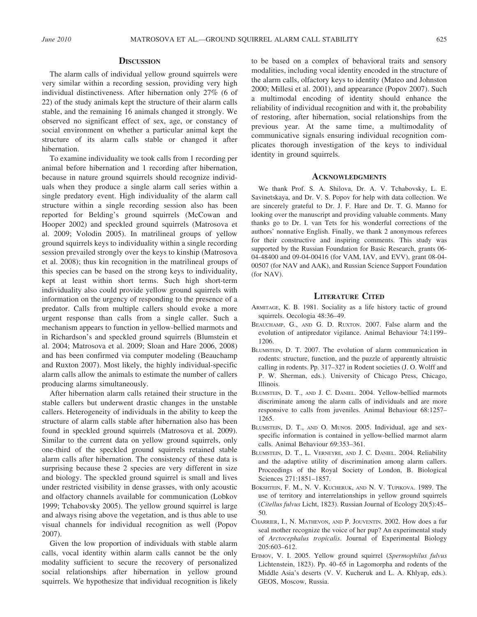#### **DISCUSSION**

The alarm calls of individual yellow ground squirrels were very similar within a recording session, providing very high individual distinctiveness. After hibernation only 27% (6 of 22) of the study animals kept the structure of their alarm calls stable, and the remaining 16 animals changed it strongly. We observed no significant effect of sex, age, or constancy of social environment on whether a particular animal kept the structure of its alarm calls stable or changed it after hibernation.

To examine individuality we took calls from 1 recording per animal before hibernation and 1 recording after hibernation, because in nature ground squirrels should recognize individuals when they produce a single alarm call series within a single predatory event. High individuality of the alarm call structure within a single recording session also has been reported for Belding's ground squirrels (McCowan and Hooper 2002) and speckled ground squirrels (Matrosova et al. 2009; Volodin 2005). In matrilineal groups of yellow ground squirrels keys to individuality within a single recording session prevailed strongly over the keys to kinship (Matrosova et al. 2008); thus kin recognition in the matrilineal groups of this species can be based on the strong keys to individuality, kept at least within short terms. Such high short-term individuality also could provide yellow ground squirrels with information on the urgency of responding to the presence of a predator. Calls from multiple callers should evoke a more urgent response than calls from a single caller. Such a mechanism appears to function in yellow-bellied marmots and in Richardson's and speckled ground squirrels (Blumstein et al. 2004; Matrosova et al. 2009; Sloan and Hare 2006, 2008) and has been confirmed via computer modeling (Beauchamp and Ruxton 2007). Most likely, the highly individual-specific alarm calls allow the animals to estimate the number of callers producing alarms simultaneously.

After hibernation alarm calls retained their structure in the stable callers but underwent drastic changes in the unstable callers. Heterogeneity of individuals in the ability to keep the structure of alarm calls stable after hibernation also has been found in speckled ground squirrels (Matrosova et al. 2009). Similar to the current data on yellow ground squirrels, only one-third of the speckled ground squirrels retained stable alarm calls after hibernation. The consistency of these data is surprising because these 2 species are very different in size and biology. The speckled ground squirrel is small and lives under restricted visibility in dense grasses, with only acoustic and olfactory channels available for communication (Lobkov 1999; Tchabovsky 2005). The yellow ground squirrel is large and always rising above the vegetation, and is thus able to use visual channels for individual recognition as well (Popov 2007).

Given the low proportion of individuals with stable alarm calls, vocal identity within alarm calls cannot be the only modality sufficient to secure the recovery of personalized social relationships after hibernation in yellow ground squirrels. We hypothesize that individual recognition is likely

to be based on a complex of behavioral traits and sensory modalities, including vocal identity encoded in the structure of the alarm calls, olfactory keys to identity (Mateo and Johnston 2000; Millesi et al. 2001), and appearance (Popov 2007). Such a multimodal encoding of identity should enhance the reliability of individual recognition and with it, the probability of restoring, after hibernation, social relationships from the previous year. At the same time, a multimodality of communicative signals ensuring individual recognition complicates thorough investigation of the keys to individual identity in ground squirrels.

#### **ACKNOWLEDGMENTS**

We thank Prof. S. A. Shilova, Dr. A. V. Tchabovsky, L. E. Savinetskaya, and Dr. V. S. Popov for help with data collection. We are sincerely grateful to Dr. J. F. Hare and Dr. T. G. Manno for looking over the manuscript and providing valuable comments. Many thanks go to Dr. I. van Tets for his wonderful corrections of the authors' nonnative English. Finally, we thank 2 anonymous referees for their constructive and inspiring comments. This study was supported by the Russian Foundation for Basic Research, grants 06- 04-48400 and 09-04-00416 (for VAM, IAV, and EVV), grant 08-04- 00507 (for NAV and AAK), and Russian Science Support Foundation (for NAV).

# LITERATURE CITED

- ARMITAGE, K. B. 1981. Sociality as a life history tactic of ground squirrels. Oecologia 48:36–49.
- BEAUCHAMP, G., AND G. D. RUXTON. 2007. False alarm and the evolution of antipredator vigilance. Animal Behaviour 74:1199– 1206.
- BLUMSTEIN, D. T. 2007. The evolution of alarm communication in rodents: structure, function, and the puzzle of apparently altruistic calling in rodents. Pp. 317–327 in Rodent societies (J. O. Wolff and P. W. Sherman, eds.). University of Chicago Press, Chicago, Illinois.
- BLUMSTEIN, D. T., AND J. C. DANIEL. 2004. Yellow-bellied marmots discriminate among the alarm calls of individuals and are more responsive to calls from juveniles. Animal Behaviour 68:1257– 1265.
- BLUMSTEIN, D. T., AND O. MUNOS. 2005. Individual, age and sexspecific information is contained in yellow-bellied marmot alarm calls. Animal Behaviour 69:353–361.
- BLUMSTEIN, D. T., L. VERNEYRE, AND J. C. DANIEL. 2004. Reliability and the adaptive utility of discrimination among alarm callers. Proceedings of the Royal Society of London, B. Biological Sciences 271:1851–1857.
- BOKSHTEIN, F. M., N. V. KUCHERUK, AND N. V. TUPIKOVA. 1989. The use of territory and interrelationships in yellow ground squirrels (Citellus fulvus Licht, 1823). Russian Journal of Ecology 20(5):45– 50.
- CHARRIER, I., N. MATHEVON, AND P. JOUVENTIN. 2002. How does a fur seal mother recognize the voice of her pup? An experimental study of Arctocephalus tropicalis. Journal of Experimental Biology 205:603–612.
- EFIMOV, V. I. 2005. Yellow ground squirrel (Spermophilus fulvus Lichtenstein, 1823). Pp. 40–65 in Lagomorpha and rodents of the Middle Asia's deserts (V. V. Kucheruk and L. A. Khlyap, eds.). GEOS, Moscow, Russia.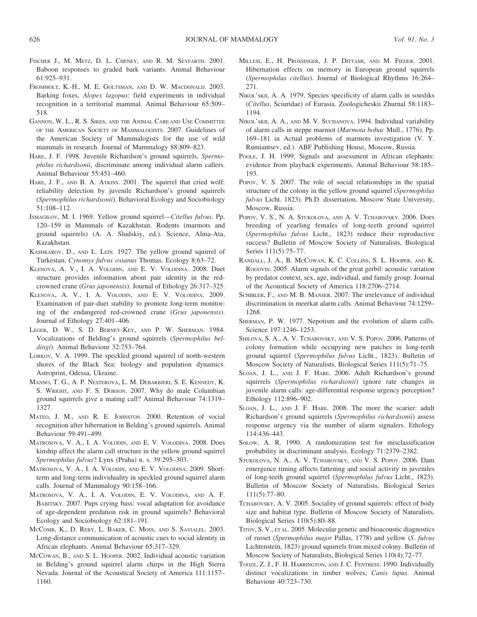- FISCHER J., M. METZ, D. L. CHENEY, AND R. M. SEYFARTH. 2001. Baboon responses to graded bark variants. Animal Behaviour 61:925–931.
- FROMMOLT, K.-H., M. E. GOLTSMAN, AND D. W. MACDONALD. 2003. Barking foxes, Alopex lagopus: field experiments in individual recognition in a territorial mammal. Animal Behaviour 65:509– 518.
- GANNON, W. L., R. S. SIKES, AND THE ANIMAL CARE AND USE COMMITTEE OF THE AMERICAN SOCIETY OF MAMMALOGISTS. 2007. Guidelines of the American Society of Mammalogists for the use of wild mammals in research. Journal of Mammalogy 88:809–823.
- HARE, J. F. 1998. Juvenile Richardson's ground squirrels, Spermophilus richardsonii, discriminate among individual alarm callers. Animal Behaviour 55:451–460.
- HARE, J. F., AND B. A. ATKINS. 2001. The squirrel that cried wolf: reliability detection by juvenile Richardson's ground squirrels (Spermophilus richardsonii). Behavioral Ecology and Sociobiology 51:108–112.
- ISMAGILOV, M. I. 1969. Yellow ground squirrel—Citellus fulvus. Pp. 120–159 in Mammals of Kazakhstan. Rodents (marmots and ground squirrels) (A. A. Sludskiy, ed.). Science, Alma-Ata, Kazakhstan.
- KASHKAROV, D., AND L. LEIN. 1927. The yellow ground squirrel of Turkestan, Cynomys fulvus oxianus Thomas. Ecology 8:63–72.
- KLENOVA, A. V., I. A. VOLODIN, AND E. V. VOLODINA. 2008. Duet structure provides information about pair identity in the redcrowned crane (Grus japonensis). Journal of Ethology 26:317–325.
- KLENOVA, A. V., I. A. VOLODIN, AND E. V. VOLODINA. 2009. Examination of pair-duet stability to promote long-term monitoring of the endangered red-crowned crane (Grus japonensis). Journal of Ethology 27:401–406.
- LEGER, D. W., S. D. BERNEY-KEY, AND P. W. SHERMAN. 1984. Vocalizations of Belding's ground squirrels (Spermophilus beldingi). Animal Behaviour 32:753-764.
- LOBKOV, V. A. 1999. The speckled ground squirrel of north-western shores of the Black Sea: biology and population dynamics. Astroprint, Odessa, Ukraine.
- MANNO, T. G., A. P. NESTEROVA, L. M. DEBARBIERI, S. E. KENNEDY, K. S. WRIGHT, AND F. S. DOBSON. 2007. Why do male Columbian ground squirrels give a mating call? Animal Behaviour 74:1319– 1327.
- MATEO, J. M., AND R. E. JOHNSTON. 2000. Retention of social recognition after hibernation in Belding's ground squirrels. Animal Behaviour 59:491–499.
- MATROSOVA, V. A., I. A. VOLODIN, AND E. V. VOLODINA. 2008. Does kinship affect the alarm call structure in the yellow ground squirrel Spermophilus fulvus? Lynx (Praha) n. s. 39:295–303.
- MATROSOVA, V. A., I. A. VOLODIN, AND E. V. VOLODINA. 2009. Shortterm and long-term individuality in speckled ground squirrel alarm calls. Journal of Mammalogy 90:158–166.
- MATROSOVA, V. A., I. A. VOLODIN, E. V. VOLODINA, AND A. F. BABITSKY. 2007. Pups crying bass: vocal adaptation for avoidance of age-dependent predation risk in ground squirrels? Behavioral Ecology and Sociobiology 62:181–191.
- MCCOMB, K., D. REBY, L. BAKER, C. MOSS, AND S. SAYIALEL. 2003. Long-distance communication of acoustic cues to social identity in African elephants. Animal Behaviour 65:317–329.
- MCCOWAN, B., AND S. L. HOOPER. 2002. Individual acoustic variation in Belding's ground squirrel alarm chirps in the High Sierra Nevada. Journal of the Acoustical Society of America 111:1157– 1160.
- MILLESI, E., H. PROSSINGER, J. P. DITTAMI, AND M. FIEDER. 2001. Hibernation effects on memory in European ground squirrels (Spermophilus citellus). Journal of Biological Rhythms 16:264– 271.
- NIKOL'SKII, A. A. 1979. Species specificity of alarm calls in sousliks (Citellus, Sciuridae) of Eurasia. Zoologicheskii Zhurnal 58:1183– 1194.
- NIKOL'sKII, A. A., AND M. V. SUCHANOVA. 1994. Individual variability of alarm calls in steppe marmot (Marmota bobac Mull., 1776). Pp. 169–181 in Actual problems of marmots investigation (V. Y. Rumiantsev, ed.). ABF Publishing House, Moscow, Russia.
- POOLE, J. H. 1999. Signals and assessment in African elephants: evidence from playback experiments. Animal Behaviour 58:185– 193.
- POPOV, V. S. 2007. The role of social relationships in the spatial structure of the colony in the yellow ground squirrel (Spermophilus fulvus Licht. 1823). Ph.D. dissertation, Moscow State University, Moscow, Russia.
- POPOV, V. S., N. A. STUKOLOVA, AND A. V. TCHABOVSKY. 2006. Does breeding of yearling females of long-teeth ground squirrel (Spermophilus fulvus Licht., 1823) reduce their reproductive success? Bulletin of Moscow Society of Naturalists, Biological Series 111(5):75–77.
- RANDALL, J. A., B. MCCOWAN, K. C. COLLINS, S. L. HOOPER, AND K. ROGOVIN. 2005. Alarm signals of the great gerbil: acoustic variation by predator context, sex, age, individual, and family group. Journal of the Acoustical Society of America 118:2706–2714.
- SCHIBLER, F., AND M. B. MANSER. 2007. The irrelevance of individual discrimination in meerkat alarm calls. Animal Behaviour 74:1259– 1268.
- SHERMAN, P. W. 1977. Nepotism and the evolution of alarm calls. Science 197:1246–1253.
- SHILOVA, S. A., A. V. TCHABOVSKY, AND V. S. POPOV. 2006. Patterns of colony formation while occupying new patches in long-teeth ground squirrel (Spermophilus fulvus Licht., 1823). Bulletin of Moscow Society of Naturalists, Biological Series 111(5):71–75.
- SLOAN, J. L., AND J. F. HARE. 2006. Adult Richardson's ground squirrels (Spermophilus richardsonii) ignore rate changes in juvenile alarm calls: age-differential response urgency perception? Ethology 112:896–902.
- SLOAN, J. L., AND J. F. HARE. 2008. The more the scarier: adult Richardson's ground squirrels (Spermophilus richardsonii) assess response urgency via the number of alarm signalers. Ethology 114:436–443.
- SOLOW, A. R. 1990. A randomization test for misclassification probability in discriminant analysis. Ecology 71:2379–2382.
- STUKOLOVA, N. A., A. V. TCHABOVSKY, AND V. S. POPOV. 2006. Dam emergence timing affects fattening and social activity in juveniles of long-teeth ground squirrel (Spermophilus fulvus Licht., 1823). Bulletin of Moscow Society of Naturalists, Biological Series 111(5):77–80.
- TCHABOVSKY, A. V. 2005. Sociality of ground squirrels: effect of body size and habitat type. Bulletin of Moscow Society of Naturalists, Biological Series 110(5):80–88.
- TITOV, S. V., ET AL. 2005. Molecular genetic and bioacoustic diagnostics of russet (Spermophilus major Pallas, 1778) and yellow (S. fulvus Lichtenstein, 1823) ground squirrels from mixed colony. Bulletin of Moscow Society of Naturalists, Biological Series 110(4):72–77.
- TOOZE, Z. J., F. H. HARRINGTON, AND J. C. FENTRESS. 1990. Individually distinct vocalizations in timber wolves, Canis lupus. Animal Behaviour 40:723–730.